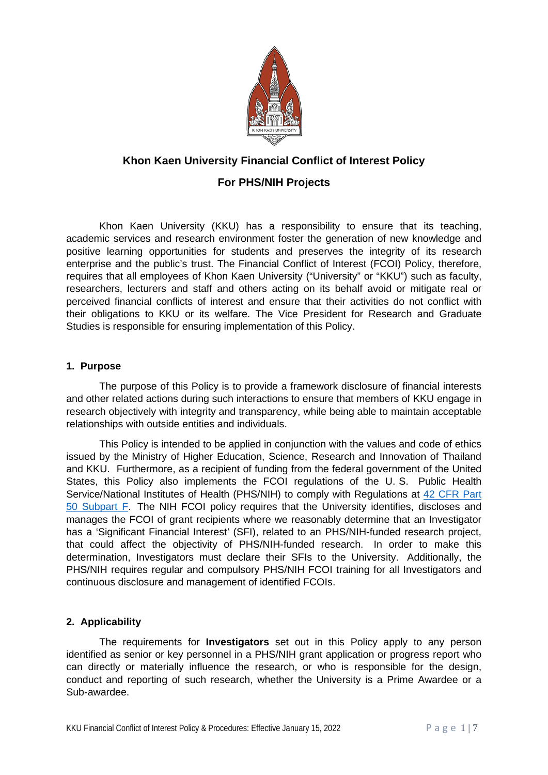

# **Khon Kaen University Financial Conflict of Interest Policy**

# **For PHS/NIH Projects**

Khon Kaen University (KKU) has a responsibility to ensure that its teaching, academic services and research environment foster the generation of new knowledge and positive learning opportunities for students and preserves the integrity of its research enterprise and the public's trust. The Financial Conflict of Interest (FCOI) Policy, therefore, requires that all employees of Khon Kaen University ("University" or "KKU") such as faculty, researchers, lecturers and staff and others acting on its behalf avoid or mitigate real or perceived financial conflicts of interest and ensure that their activities do not conflict with their obligations to KKU or its welfare. The Vice President for Research and Graduate Studies is responsible for ensuring implementation of this Policy.

### **1. Purpose**

The purpose of this Policy is to provide a framework disclosure of financial interests and other related actions during such interactions to ensure that members of KKU engage in research objectively with integrity and transparency, while being able to maintain acceptable relationships with outside entities and individuals.

This Policy is intended to be applied in conjunction with the values and code of ethics issued by the Ministry of Higher Education, Science, Research and Innovation of Thailand and KKU. Furthermore, as a recipient of funding from the federal government of the United States, this Policy also implements the FCOI regulations of the U. S. Public Health Service/National Institutes of Health (PHS/NIH) to comply with Regulations at [42 CFR Part](https://www.ecfr.gov/current/title-42/chapter-I/subchapter-D/part-50/subpart-F)  50 [Subpart F.](https://www.ecfr.gov/current/title-42/chapter-I/subchapter-D/part-50/subpart-F) The NIH FCOI policy requires that the University identifies, discloses and manages the FCOI of grant recipients where we reasonably determine that an Investigator has a 'Significant Financial Interest' (SFI), related to an PHS/NIH-funded research project, that could affect the objectivity of PHS/NIH-funded research. In order to make this determination, Investigators must declare their SFIs to the University. Additionally, the PHS/NIH requires reqular and compulsory PHS/NIH FCOI training for all Investigators and continuous disclosure and management of identified FCOIs.

## **2. Applicability**

The requirements for **Investigators** set out in this Policy apply to any person identified as senior or key personnel in a PHS/NIH grant application or progress report who can directly or materially influence the research, or who is responsible for the design, conduct and reporting of such research, whether the University is a Prime Awardee or a Sub-awardee.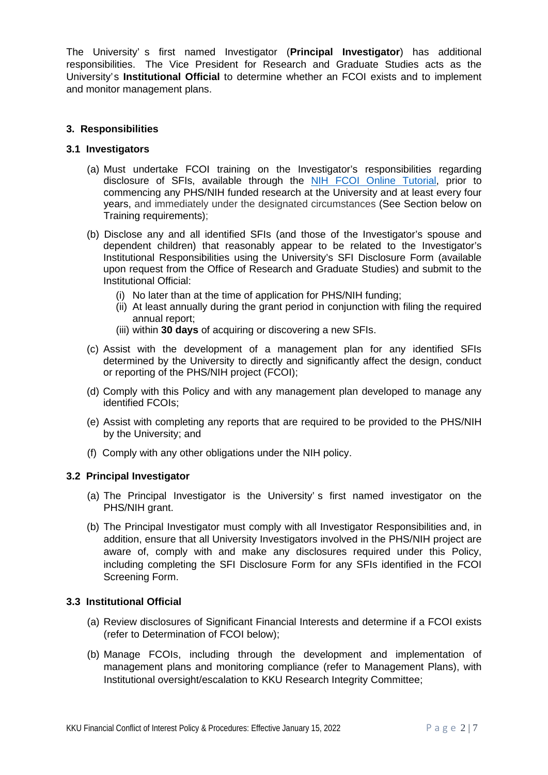The University' s first named Investigator (**Principal Investigator**) has additional responsibilities. The Vice President for Research and Graduate Studies acts as the University's **Institutional Official** to determine whether an FCOI exists and to implement and monitor management plans.

## **3. Responsibilities**

### **3.1 Investigators**

- (a) Must undertake FCOI training on the Investigator's responsibilities regarding disclosure of SFIs, available through the [NIH FCOI Online Tutorial,](https://grants.nih.gov/grants/policy/coi/tutorial2018/story_html5.html) prior to commencing any PHS/NIH funded research at the University and at least every four years, and immediately under the designated circumstances (See Section below on Training requirements);
- (b) Disclose any and all identified SFIs (and those of the Investigator's spouse and dependent children) that reasonably appear to be related to the Investigator's Institutional Responsibilities using the University's SFI Disclosure Form (available upon request from the Office of Research and Graduate Studies) and submit to the Institutional Official:
	- (i) No later than at the time of application for PHS/NIH funding;
	- (ii) At least annually during the grant period in conjunction with filing the required annual report;
	- (iii) within **30 days** of acquiring or discovering a new SFIs.
- (c) Assist with the development of a management plan for any identified SFIs determined by the University to directly and significantly affect the design, conduct or reporting of the PHS/NIH project (FCOI);
- (d) Comply with this Policy and with any management plan developed to manage any identified FCOIs;
- (e) Assist with completing any reports that are required to be provided to the PHS/NIH by the University; and
- (f) Comply with any other obligations under the NIH policy.

### **3.2 Principal Investigator**

- (a) The Principal Investigator is the University' s first named investigator on the PHS/NIH grant.
- (b) The Principal Investigator must comply with all Investigator Responsibilities and, in addition, ensure that all University Investigators involved in the PHS/NIH project are aware of, comply with and make any disclosures required under this Policy, including completing the SFI Disclosure Form for any SFIs identified in the FCOI Screening Form.

### **3.3 Institutional Official**

- (a) Review disclosures of Significant Financial Interests and determine if a FCOI exists (refer to Determination of FCOI below);
- (b) Manage FCOIs, including through the development and implementation of management plans and monitoring compliance (refer to Management Plans), with Institutional oversight/escalation to KKU Research Integrity Committee;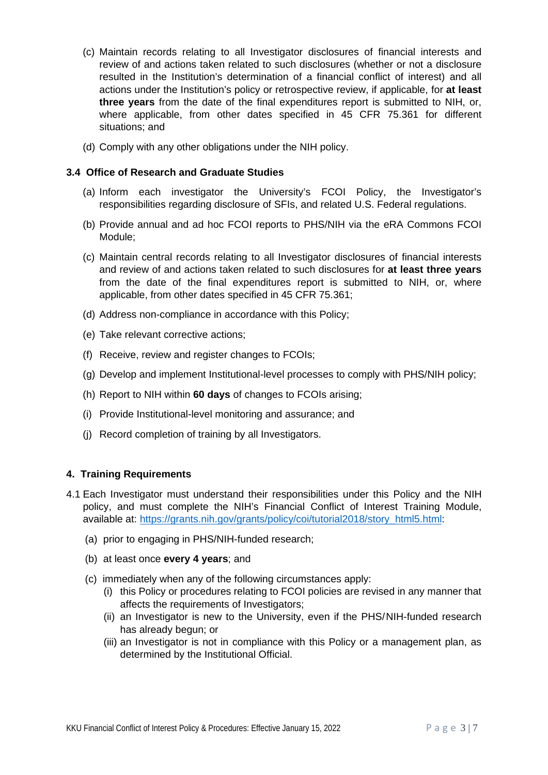- (c) Maintain records relating to all Investigator disclosures of financial interests and review of and actions taken related to such disclosures (whether or not a disclosure resulted in the Institution's determination of a financial conflict of interest) and all actions under the Institution's policy or retrospective review, if applicable, for **at least three years** from the date of the final expenditures report is submitted to NIH, or, where applicable, from other dates specified in 45 CFR 75.361 for different situations; and
- (d) Comply with any other obligations under the NIH policy.

### **3.4 Office of Research and Graduate Studies**

- (a) Inform each investigator the University's FCOI Policy, the Investigator's responsibilities regarding disclosure of SFIs, and related U.S. Federal regulations.
- (b) Provide annual and ad hoc FCOI reports to PHS/NIH via the eRA Commons FCOI Module;
- (c) Maintain central records relating to all Investigator disclosures of financial interests and review of and actions taken related to such disclosures for **at least three years** from the date of the final expenditures report is submitted to NIH, or, where applicable, from other dates specified in 45 CFR 75.361;
- (d) Address non-compliance in accordance with this Policy;
- (e) Take relevant corrective actions;
- (f) Receive, review and register changes to FCOIs;
- (g) Develop and implement Institutional-level processes to comply with PHS/NIH policy;
- (h) Report to NIH within **60 days** of changes to FCOIs arising;
- (i) Provide Institutional-level monitoring and assurance; and
- (j) Record completion of training by all Investigators.

#### **4. Training Requirements**

- 4.1 Each Investigator must understand their responsibilities under this Policy and the NIH policy, and must complete the NIH's Financial Conflict of Interest Training Module, available at: [https://grants.nih.gov/grants/policy/coi/tutorial2018/story\\_html5.html:](https://grants.nih.gov/grants/policy/coi/tutorial2018/story_html5.html)
	- (a) prior to engaging in PHS/NIH-funded research;
	- (b) at least once **every 4 years**; and
	- (c) immediately when any of the following circumstances apply:
		- (i) this Policy or procedures relating to FCOI policies are revised in any manner that affects the requirements of Investigators;
		- (ii) an Investigator is new to the University, even if the PHS/NIH-funded research has already begun; or
		- (iii) an Investigator is not in compliance with this Policy or a management plan, as determined by the Institutional Official.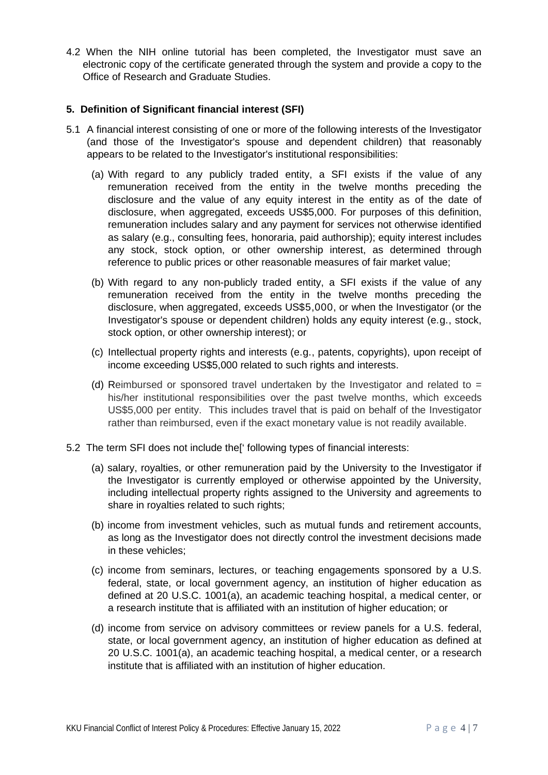4.2 When the NIH online tutorial has been completed, the Investigator must save an electronic copy of the certificate generated through the system and provide a copy to the Office of Research and Graduate Studies.

### **5. Definition of Significant financial interest (SFI)**

- 5.1 A financial interest consisting of one or more of the following interests of the Investigator (and those of the Investigator's spouse and dependent children) that reasonably appears to be related to the Investigator's institutional responsibilities:
	- (a) With regard to any publicly traded entity, a SFI exists if the value of any remuneration received from the entity in the twelve months preceding the disclosure and the value of any equity interest in the entity as of the date of disclosure, when aggregated, exceeds US\$5,000. For purposes of this definition, remuneration includes salary and any payment for services not otherwise identified as salary (e.g., consulting fees, honoraria, paid authorship); equity interest includes any stock, stock option, or other ownership interest, as determined through reference to public prices or other reasonable measures of fair market value;
	- (b) With regard to any non-publicly traded entity, a SFI exists if the value of any remuneration received from the entity in the twelve months preceding the disclosure, when aggregated, exceeds US\$5,000, or when the Investigator (or the Investigator's spouse or dependent children) holds any equity interest (e.g., stock, stock option, or other ownership interest); or
	- (c) Intellectual property rights and interests (e.g., patents, copyrights), upon receipt of income exceeding US\$5,000 related to such rights and interests.
	- (d) Reimbursed or sponsored travel undertaken by the Investigator and related to  $=$ his/her institutional responsibilities over the past twelve months, which exceeds US\$5,000 per entity. This includes travel that is paid on behalf of the Investigator rather than reimbursed, even if the exact monetary value is not readily available.
- 5.2 The term SFI does not include the[' following types of financial interests:
	- (a) salary, royalties, or other remuneration paid by the University to the Investigator if the Investigator is currently employed or otherwise appointed by the University, including intellectual property rights assigned to the University and agreements to share in royalties related to such rights;
	- (b) income from investment vehicles, such as mutual funds and retirement accounts, as long as the Investigator does not directly control the investment decisions made in these vehicles;
	- (c) income from seminars, lectures, or teaching engagements sponsored by a U.S. federal, state, or local government agency, an institution of higher education as defined at 20 U.S.C. 1001(a), an academic teaching hospital, a medical center, or a research institute that is affiliated with an institution of higher education; or
	- (d) income from service on advisory committees or review panels for a U.S. federal, state, or local government agency, an institution of higher education as defined at 20 U.S.C. 1001(a), an academic teaching hospital, a medical center, or a research institute that is affiliated with an institution of higher education.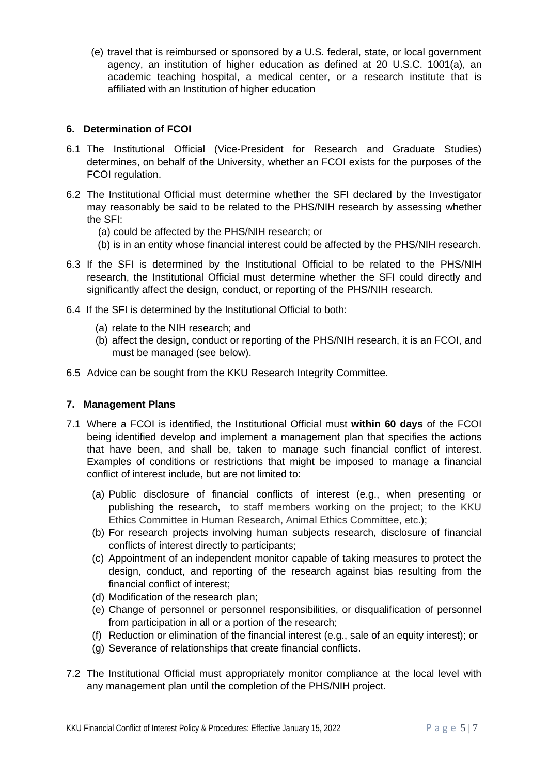(e) travel that is reimbursed or sponsored by a U.S. federal, state, or local government agency, an institution of higher education as defined at 20 U.S.C. 1001(a), an academic teaching hospital, a medical center, or a research institute that is affiliated with an Institution of higher education

# **6. Determination of FCOI**

- 6.1 The Institutional Official (Vice-President for Research and Graduate Studies) determines, on behalf of the University, whether an FCOI exists for the purposes of the FCOI regulation.
- 6.2 The Institutional Official must determine whether the SFI declared by the Investigator may reasonably be said to be related to the PHS/NIH research by assessing whether the SFI:
	- (a) could be affected by the PHS/NIH research; or
	- (b) is in an entity whose financial interest could be affected by the PHS/NIH research.
- 6.3 If the SFI is determined by the Institutional Official to be related to the PHS/NIH research, the Institutional Official must determine whether the SFI could directly and significantly affect the design, conduct, or reporting of the PHS/NIH research.
- 6.4 If the SFI is determined by the Institutional Official to both:
	- (a) relate to the NIH research; and
	- (b) affect the design, conduct or reporting of the PHS/NIH research, it is an FCOI, and must be managed (see below).
- 6.5 Advice can be sought from the KKU Research Integrity Committee.

### **7. Management Plans**

- 7.1 Where a FCOI is identified, the Institutional Official must **within 60 days** of the FCOI being identified develop and implement a management plan that specifies the actions that have been, and shall be, taken to manage such financial conflict of interest. Examples of conditions or restrictions that might be imposed to manage a financial conflict of interest include, but are not limited to:
	- (a) Public disclosure of financial conflicts of interest (e.g., when presenting or publishing the research, to staff members working on the project; to the KKU Ethics Committee in Human Research, Animal Ethics Committee, etc.);
	- (b) For research projects involving human subjects research, disclosure of financial conflicts of interest directly to participants;
	- (c) Appointment of an independent monitor capable of taking measures to protect the design, conduct, and reporting of the research against bias resulting from the financial conflict of interest;
	- (d) Modification of the research plan;
	- (e) Change of personnel or personnel responsibilities, or disqualification of personnel from participation in all or a portion of the research;
	- (f) Reduction or elimination of the financial interest (e.g., sale of an equity interest); or
	- (g) Severance of relationships that create financial conflicts.
- 7.2 The Institutional Official must appropriately monitor compliance at the local level with any management plan until the completion of the PHS/NIH project.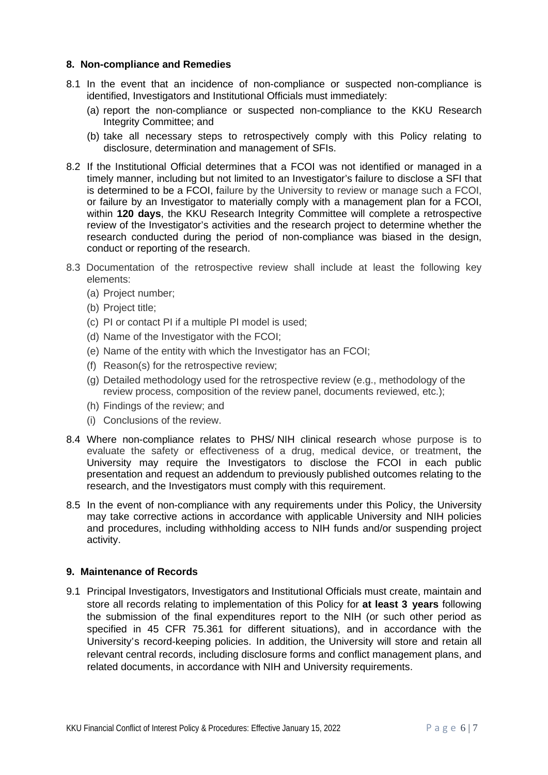### **8. Non-compliance and Remedies**

- 8.1 In the event that an incidence of non-compliance or suspected non-compliance is identified, Investigators and Institutional Officials must immediately:
	- (a) report the non-compliance or suspected non-compliance to the KKU Research Integrity Committee; and
	- (b) take all necessary steps to retrospectively comply with this Policy relating to disclosure, determination and management of SFIs.
- 8.2 If the Institutional Official determines that a FCOI was not identified or managed in a timely manner, including but not limited to an Investigator's failure to disclose a SFI that is determined to be a FCOI, failure by the University to review or manage such a FCOI, or failure by an Investigator to materially comply with a management plan for a FCOI, within **120 days**, the KKU Research Integrity Committee will complete a retrospective review of the Investigator's activities and the research project to determine whether the research conducted during the period of non-compliance was biased in the design, conduct or reporting of the research.
- 8.3 Documentation of the retrospective review shall include at least the following key elements:
	- (a) Project number;
	- (b) Project title;
	- (c) PI or contact PI if a multiple PI model is used;
	- (d) Name of the Investigator with the FCOI;
	- (e) Name of the entity with which the Investigator has an FCOI;
	- (f) Reason(s) for the retrospective review;
	- (g) Detailed methodology used for the retrospective review (e.g., methodology of the review process, composition of the review panel, documents reviewed, etc.);
	- (h) Findings of the review; and
	- (i) Conclusions of the review.
- 8.4 Where non-compliance relates to PHS/ NIH clinical research whose purpose is to evaluate the safety or effectiveness of a drug, medical device, or treatment, the University may require the Investigators to disclose the FCOI in each public presentation and request an addendum to previously published outcomes relating to the research, and the Investigators must comply with this requirement.
- 8.5 In the event of non-compliance with any requirements under this Policy, the University may take corrective actions in accordance with applicable University and NIH policies and procedures, including withholding access to NIH funds and/or suspending project activity.

#### **9. Maintenance of Records**

9.1 Principal Investigators, Investigators and Institutional Officials must create, maintain and store all records relating to implementation of this Policy for **at least 3 years** following the submission of the final expenditures report to the NIH (or such other period as specified in 45 CFR 75.361 for different situations), and in accordance with the University's record-keeping policies. In addition, the University will store and retain all relevant central records, including disclosure forms and conflict management plans, and related documents, in accordance with NIH and University requirements.